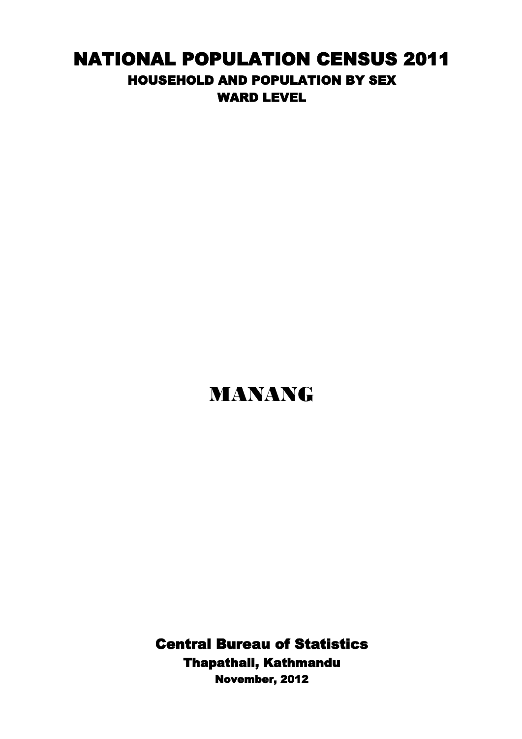## NATIONAL POPULATION CENSUS 2011 HOUSEHOLD AND POPULATION BY SEX WARD LEVEL

## MANANG

Thapathali, Kathmandu Central Bureau of Statistics November, 2012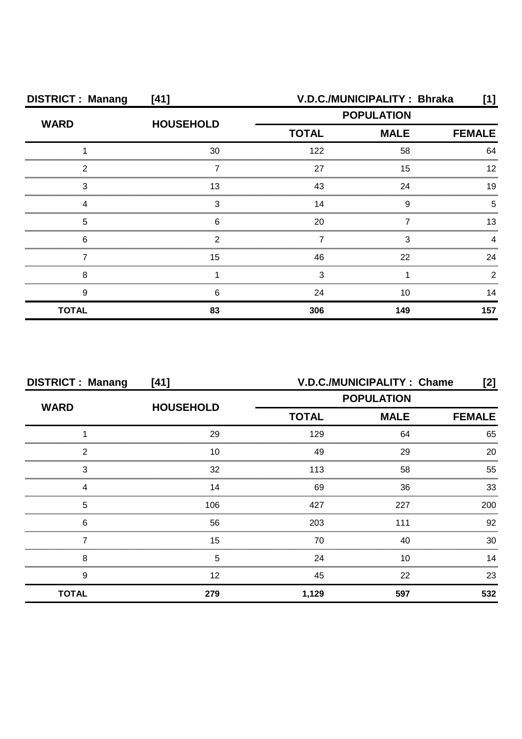| <b>DISTRICT: Manang</b> | $[41]$           |                   | V.D.C./MUNICIPALITY: Bhraka  | [1] |  |  |
|-------------------------|------------------|-------------------|------------------------------|-----|--|--|
| <b>WARD</b>             | <b>HOUSEHOLD</b> | <b>POPULATION</b> |                              |     |  |  |
|                         |                  | <b>TOTAL</b>      | <b>MALE</b><br><b>FEMALE</b> |     |  |  |
|                         | 30               | 122               | 58                           | 64  |  |  |
| ົ                       |                  | 27                | 15                           |     |  |  |
| 3                       | 13               | 43                | 24                           | 1 Q |  |  |
|                         | З                | 14                | Q                            |     |  |  |
| 5                       | ิค               | 20                |                              | 13  |  |  |
| 6                       |                  |                   |                              |     |  |  |
|                         | 15               | 46                | 22                           | 24  |  |  |
| я                       |                  |                   |                              |     |  |  |
| 9                       | n                | 24                | 10                           | 14  |  |  |
| <b>TOTAL</b>            | 83               | 306               | 149                          | 157 |  |  |

| <b>DISTRICT: Manang</b><br>[41] |                  | V.D.C./MUNICIPALITY: Chame<br>$[2]$ |             |               |
|---------------------------------|------------------|-------------------------------------|-------------|---------------|
| <b>WARD</b>                     | <b>HOUSEHOLD</b> | <b>POPULATION</b>                   |             |               |
|                                 |                  | <b>TOTAL</b>                        | <b>MALE</b> | <b>FEMALE</b> |
|                                 | 29               | 129                                 | 64          | 65            |
| າ                               | 10               | 49                                  | 29          | 20            |
| 3                               | 32               | 113                                 | 58          | 55            |
|                                 | 14               | 69                                  | 36          | 33            |
| 5                               | 106              | 427                                 | 227         | 200           |
| 6                               | 56               | 203                                 | 111         | 92            |
|                                 | 15               | 70                                  | 40          | 30            |
| 8                               | 5                | 24                                  | 10          | 14            |
| 9                               | 12               | 45                                  | 22          | 23            |
| <b>TOTAL</b>                    | 279              | 1,129                               | 597         | 532           |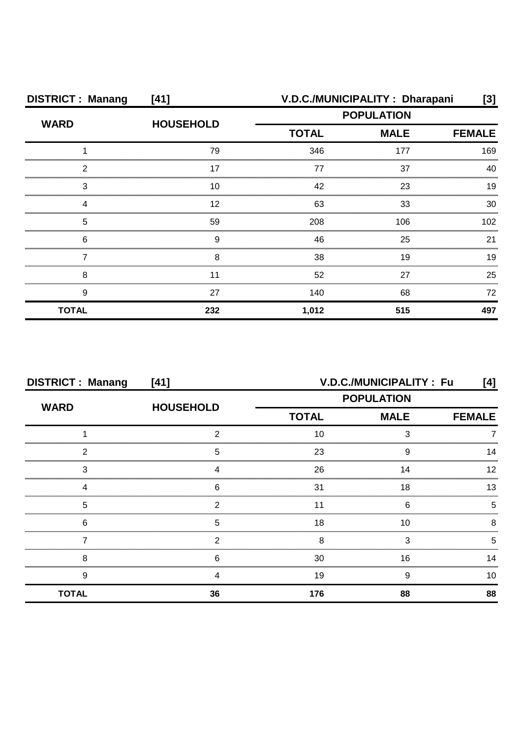| <b>DISTRICT: Manang</b> | $[41]$           |                   | V.D.C./MUNICIPALITY: Dharapani | [3]              |
|-------------------------|------------------|-------------------|--------------------------------|------------------|
| <b>WARD</b>             | <b>HOUSEHOLD</b> | <b>POPULATION</b> |                                |                  |
|                         |                  | <b>TOTAL</b>      | <b>MALE</b>                    | <b>FEMALE</b>    |
|                         | 79               | 346               | 177                            | 169              |
| ◠                       | 17               | 77                | 37                             | 40               |
| 3                       | 10               | 42                | 23                             | 19               |
|                         | 12               | 63                | 33                             | 30               |
| 5                       | 59               | 208               | 106                            | 102 <sub>2</sub> |
| 6                       | 9                | 46                | 25                             | 21               |
|                         | 8                | 38                | 19                             | 19               |
| 8                       |                  | 52                | 27                             | 25               |
| 9                       | 27               | 140               | 68                             | 72               |
| <b>TOTAL</b>            | 232              | 1,012             | 515                            | 497              |

| <b>DISTRICT: Manang</b> | $[41]$           | V.D.C./MUNICIPALITY: Fu<br>[4] |                              |    |  |  |
|-------------------------|------------------|--------------------------------|------------------------------|----|--|--|
| <b>WARD</b>             |                  | <b>POPULATION</b>              |                              |    |  |  |
|                         | <b>HOUSEHOLD</b> | <b>TOTAL</b>                   | <b>MALE</b><br><b>FEMALE</b> |    |  |  |
|                         |                  | 10                             |                              |    |  |  |
| ົ                       | 5                | 23                             | о                            |    |  |  |
| 3                       |                  | 26                             | 14                           |    |  |  |
|                         | հ                | 31                             | 18                           |    |  |  |
| 5                       |                  |                                | ค                            |    |  |  |
| 6                       | 5                | 18                             | 10                           |    |  |  |
|                         |                  |                                |                              |    |  |  |
| 8                       |                  | 30                             | 16                           |    |  |  |
| g                       |                  | 19                             | 9                            | 10 |  |  |
| <b>TOTAL</b>            | 36               | 176                            | 88                           | 88 |  |  |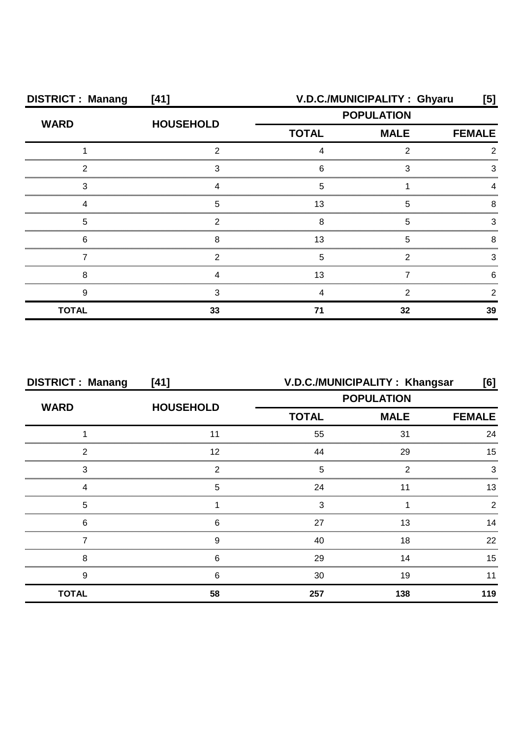| <b>DISTRICT: Manang</b> | [41]             | V.D.C./MUNICIPALITY: Ghyaru<br>[5]           |    |    |
|-------------------------|------------------|----------------------------------------------|----|----|
| <b>WARD</b>             | <b>HOUSEHOLD</b> | <b>POPULATION</b>                            |    |    |
|                         |                  | <b>MALE</b><br><b>TOTAL</b><br><b>FEMALE</b> |    |    |
|                         |                  |                                              |    |    |
| ◠                       | ົ                |                                              | 3  |    |
| З                       |                  |                                              |    |    |
|                         | 5                | 13                                           | 5  |    |
| 5                       |                  |                                              |    |    |
| 6                       |                  | 13                                           | h  |    |
|                         |                  |                                              |    |    |
| с                       |                  |                                              |    |    |
| 9                       |                  |                                              |    |    |
| <b>TOTAL</b>            | 33               |                                              | 32 | 39 |

| <b>DISTRICT: Manang</b> | [41]             | V.D.C./MUNICIPALITY: Khangsar<br>[6] |                              |     |  |  |
|-------------------------|------------------|--------------------------------------|------------------------------|-----|--|--|
| <b>WARD</b>             | <b>HOUSEHOLD</b> | <b>POPULATION</b>                    |                              |     |  |  |
|                         |                  | <b>TOTAL</b>                         | <b>MALE</b><br><b>FEMALE</b> |     |  |  |
|                         |                  | 55                                   | 31                           | 24  |  |  |
| ◠                       | 12               | 44                                   | 29                           | 15  |  |  |
| 3                       | ◠                | 5                                    | ◠                            |     |  |  |
|                         | 5                | 24                                   |                              |     |  |  |
| 5                       |                  | З                                    |                              |     |  |  |
| 6                       | 6                | 27                                   | 13                           |     |  |  |
|                         | 9                | 40                                   | 18                           | 22  |  |  |
| 8                       | հ                | 29                                   | 14                           | 15  |  |  |
| 9                       | 6                | 30                                   | 19                           | 11  |  |  |
| <b>TOTAL</b>            | 58               | 257                                  | 138                          | 119 |  |  |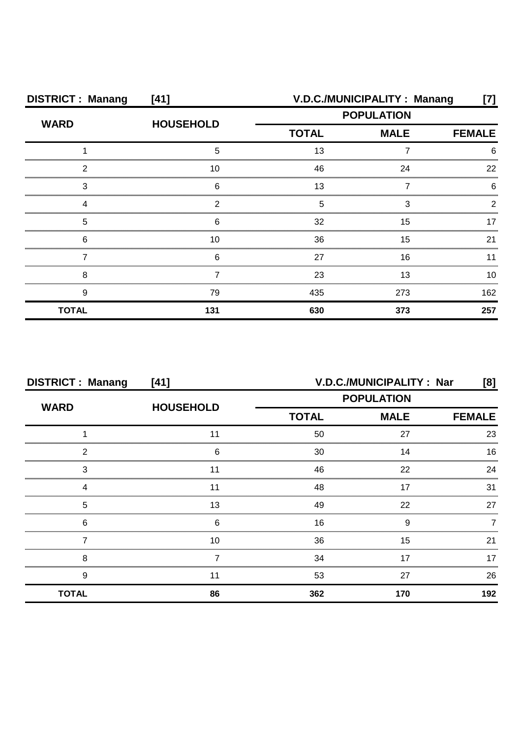| <b>DISTRICT: Manang</b> | [41]             |                                              | V.D.C./MUNICIPALITY: Manang | [7] |  |
|-------------------------|------------------|----------------------------------------------|-----------------------------|-----|--|
| <b>WARD</b>             | <b>HOUSEHOLD</b> | <b>POPULATION</b>                            |                             |     |  |
|                         |                  | <b>TOTAL</b><br><b>MALE</b><br><b>FEMALE</b> |                             |     |  |
|                         | 5                | 13                                           |                             |     |  |
| ◠                       | 10               | 46                                           | 24                          | 22  |  |
| З                       | ี่ค              | 13                                           |                             |     |  |
|                         | ◠                | 5                                            | З                           |     |  |
| 5                       | 6                | 32                                           | 15                          |     |  |
| 6                       | 10               | 36                                           | 15                          | 21  |  |
|                         | 6                | 27                                           | 16                          |     |  |
| 8                       |                  | 23                                           | 13                          | 10  |  |
| 9                       | 79               | 435                                          | 273                         | 162 |  |
| <b>TOTAL</b>            | 131              | 630                                          | 373                         | 257 |  |

| <b>DISTRICT: Manang</b> | [41]             | V.D.C./MUNICIPALITY : Nar<br>[8] |             |               |
|-------------------------|------------------|----------------------------------|-------------|---------------|
|                         |                  | <b>POPULATION</b>                |             |               |
| <b>WARD</b>             | <b>HOUSEHOLD</b> | <b>TOTAL</b>                     | <b>MALE</b> | <b>FEMALE</b> |
|                         |                  | 50                               | 27          | 23            |
| 2                       | 6                | 30                               | 14          | 16            |
| 3                       |                  | 46                               | 22          | 24            |
|                         | 11               | 48                               | 17          | 31            |
| 5                       | 13               | 49                               | 22          | 27            |
| 6                       | 6                | 16                               | 9           |               |
|                         | 10               | 36                               | 15          | 21            |
| 8                       |                  | 34                               | 17          |               |
| 9                       |                  | 53                               | 27          | 26            |
| <b>TOTAL</b>            | 86               | 362                              | 170         | 192           |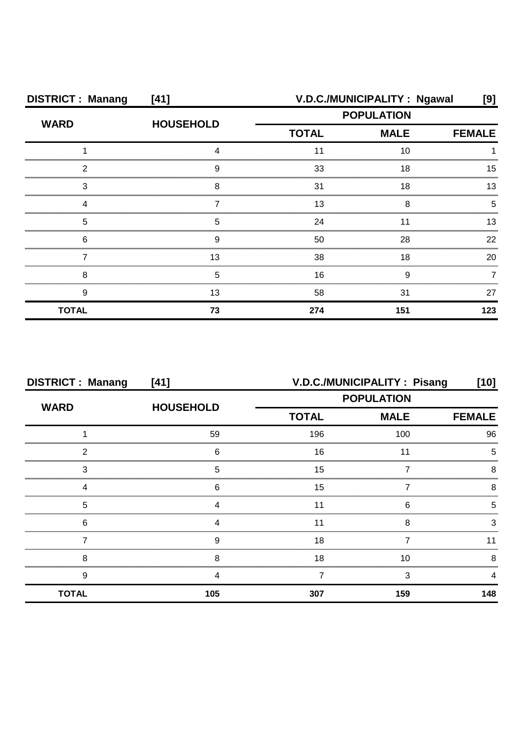| <b>DISTRICT: Manang</b> | [41]             | V.D.C./MUNICIPALITY: Ngawal<br>[9]           |     |     |  |
|-------------------------|------------------|----------------------------------------------|-----|-----|--|
| <b>WARD</b>             | <b>HOUSEHOLD</b> | <b>POPULATION</b>                            |     |     |  |
|                         |                  | <b>TOTAL</b><br><b>MALE</b><br><b>FEMALE</b> |     |     |  |
|                         |                  |                                              | 10  |     |  |
| ົ                       | g                | 33                                           | 18  | 15  |  |
| 3                       | я                | 31                                           | 18  |     |  |
|                         |                  | 13                                           | 8   |     |  |
| 5                       |                  | 24                                           |     | 13  |  |
| 6                       | 9                | 50                                           | 28  | 22  |  |
|                         | 13               | 38                                           | 18  | 20  |  |
| 8                       | 5                | 16                                           | 9   |     |  |
| 9                       | 13               | 58                                           | 31  | 27  |  |
| <b>TOTAL</b>            | 73               | 274                                          | 151 | 123 |  |

| <b>DISTRICT: Manang</b> | [41]             |                   | V.D.C./MUNICIPALITY : Pisang | [10]          |
|-------------------------|------------------|-------------------|------------------------------|---------------|
| <b>WARD</b>             | <b>HOUSEHOLD</b> | <b>POPULATION</b> |                              |               |
|                         |                  | <b>TOTAL</b>      | <b>MALE</b>                  | <b>FEMALE</b> |
|                         | 59               | 196               | 100                          | 96            |
| ◠                       | 6                | 16                |                              |               |
| 3                       | 5                | 15                |                              |               |
|                         | ิค               | 15                |                              |               |
| 5                       |                  | 11                | ค                            |               |
| 6                       |                  |                   |                              |               |
|                         | a                | 18                |                              |               |
| 8                       | 8                | 18                | 10                           |               |
| 9                       |                  |                   | 3                            |               |
| <b>TOTAL</b>            | 105              | 307               | 159                          | 148           |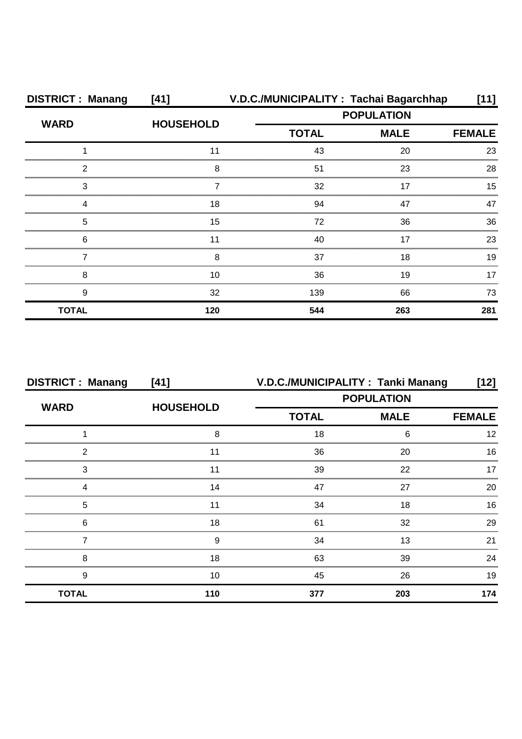| <b>DISTRICT: Manang</b> | [41]             | V.D.C./MUNICIPALITY: Tachai Bagarchhap |                   | 11]           |  |
|-------------------------|------------------|----------------------------------------|-------------------|---------------|--|
| <b>WARD</b>             |                  |                                        | <b>POPULATION</b> |               |  |
|                         | <b>HOUSEHOLD</b> | <b>TOTAL</b>                           | <b>MALE</b>       | <b>FEMALE</b> |  |
|                         |                  | 43                                     | 20                | 23            |  |
| 2                       | 8                | 51                                     | 23                | 28            |  |
| 3                       |                  | 32                                     | 17                | 15            |  |
|                         | 18               | 94                                     | 47                | 47            |  |
| 5                       | 15               | 72                                     | 36                | 36            |  |
| 6                       | 11               | 40                                     | 17                | 23            |  |
|                         |                  | 37                                     | 18                | 19            |  |
| 8                       | 10               | 36                                     | 19                |               |  |
| 9                       | 32               | 139                                    | 66                | 73            |  |
| <b>TOTAL</b>            | 120              | 544                                    | 263               | 281           |  |

| <b>DISTRICT: Manang</b> | [41]             |                   | V.D.C./MUNICIPALITY: Tanki Manang | [12]          |
|-------------------------|------------------|-------------------|-----------------------------------|---------------|
| <b>WARD</b>             |                  | <b>POPULATION</b> |                                   |               |
|                         | <b>HOUSEHOLD</b> | <b>TOTAL</b>      | <b>MALE</b>                       | <b>FEMALE</b> |
|                         | ິດ               | 18                |                                   |               |
| ົ                       |                  | 36                | 20                                | 16            |
| 3                       |                  | 39                | 22                                |               |
|                         | 14               | 47                | 27                                | 20            |
| 5                       |                  | 34                | 18                                | 16            |
| 6                       | 18               | 61                | 32                                | 29            |
|                         | 9                | 34                | 13                                | 21            |
| 8                       | 18               | 63                | 39                                | 24            |
| 9                       | 10               | 45                | 26                                | 19            |
| <b>TOTAL</b>            | 110              | 377               | 203                               | 174           |